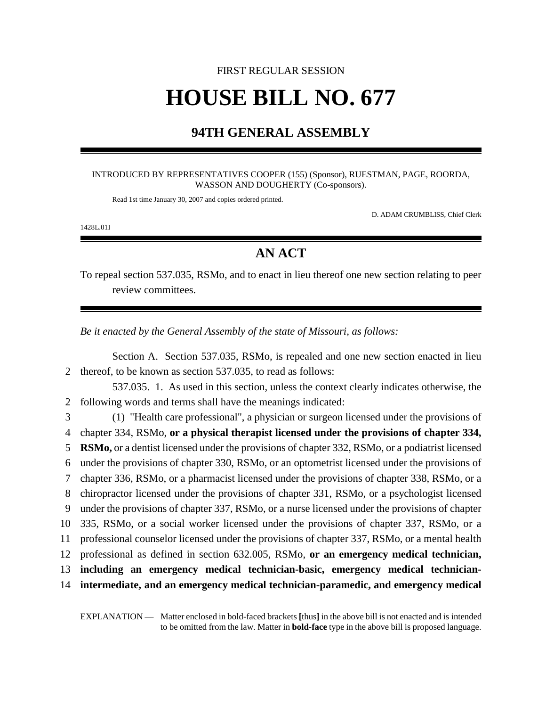# FIRST REGULAR SESSION **HOUSE BILL NO. 677**

### **94TH GENERAL ASSEMBLY**

#### INTRODUCED BY REPRESENTATIVES COOPER (155) (Sponsor), RUESTMAN, PAGE, ROORDA, WASSON AND DOUGHERTY (Co-sponsors).

Read 1st time January 30, 2007 and copies ordered printed.

D. ADAM CRUMBLISS, Chief Clerk

1428L.01I

## **AN ACT**

To repeal section 537.035, RSMo, and to enact in lieu thereof one new section relating to peer review committees.

*Be it enacted by the General Assembly of the state of Missouri, as follows:*

Section A. Section 537.035, RSMo, is repealed and one new section enacted in lieu 2 thereof, to be known as section 537.035, to read as follows:

537.035. 1. As used in this section, unless the context clearly indicates otherwise, the 2 following words and terms shall have the meanings indicated:

 (1) "Health care professional", a physician or surgeon licensed under the provisions of chapter 334, RSMo, **or a physical therapist licensed under the provisions of chapter 334, RSMo,** or a dentist licensed under the provisions of chapter 332, RSMo, or a podiatrist licensed under the provisions of chapter 330, RSMo, or an optometrist licensed under the provisions of chapter 336, RSMo, or a pharmacist licensed under the provisions of chapter 338, RSMo, or a chiropractor licensed under the provisions of chapter 331, RSMo, or a psychologist licensed under the provisions of chapter 337, RSMo, or a nurse licensed under the provisions of chapter 335, RSMo, or a social worker licensed under the provisions of chapter 337, RSMo, or a professional counselor licensed under the provisions of chapter 337, RSMo, or a mental health professional as defined in section 632.005, RSMo, **or an emergency medical technician, including an emergency medical technician-basic, emergency medical technician-intermediate, and an emergency medical technician-paramedic, and emergency medical**

EXPLANATION — Matter enclosed in bold-faced brackets **[**thus**]** in the above bill is not enacted and is intended to be omitted from the law. Matter in **bold-face** type in the above bill is proposed language.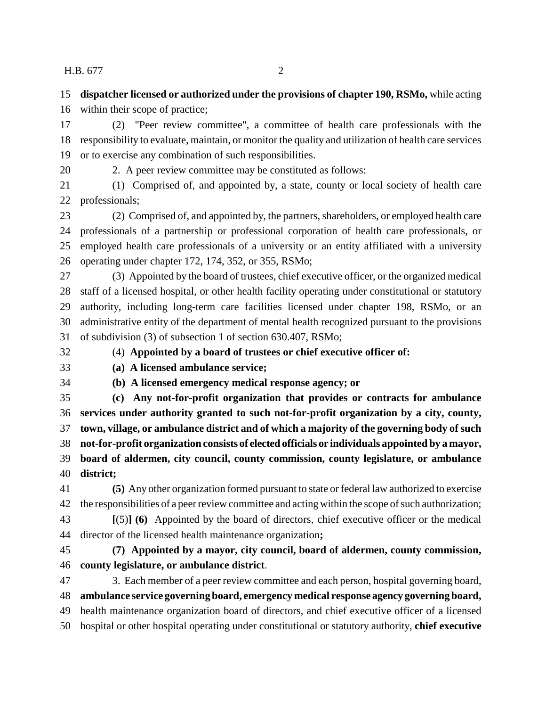### H.B. 677 2

 **dispatcher licensed or authorized under the provisions of chapter 190, RSMo,** while acting within their scope of practice;

 (2) "Peer review committee", a committee of health care professionals with the responsibility to evaluate, maintain, or monitor the quality and utilization of health care services or to exercise any combination of such responsibilities.

2. A peer review committee may be constituted as follows:

 (1) Comprised of, and appointed by, a state, county or local society of health care professionals;

 (2) Comprised of, and appointed by, the partners, shareholders, or employed health care professionals of a partnership or professional corporation of health care professionals, or employed health care professionals of a university or an entity affiliated with a university operating under chapter 172, 174, 352, or 355, RSMo;

 (3) Appointed by the board of trustees, chief executive officer, or the organized medical staff of a licensed hospital, or other health facility operating under constitutional or statutory authority, including long-term care facilities licensed under chapter 198, RSMo, or an administrative entity of the department of mental health recognized pursuant to the provisions of subdivision (3) of subsection 1 of section 630.407, RSMo;

(4) **Appointed by a board of trustees or chief executive officer of:**

**(a) A licensed ambulance service;**

**(b) A licensed emergency medical response agency; or**

 **(c) Any not-for-profit organization that provides or contracts for ambulance services under authority granted to such not-for-profit organization by a city, county, town, village, or ambulance district and of which a majority of the governing body of such not-for-profit organization consists of elected officials or individuals appointed by a mayor, board of aldermen, city council, county commission, county legislature, or ambulance district;**

 **(5)** Any other organization formed pursuant to state or federal law authorized to exercise the responsibilities of a peer review committee and acting within the scope of such authorization;

 **[**(5)**] (6)** Appointed by the board of directors, chief executive officer or the medical director of the licensed health maintenance organization**;**

 **(7) Appointed by a mayor, city council, board of aldermen, county commission, county legislature, or ambulance district**.

 3. Each member of a peer review committee and each person, hospital governing board, **ambulance service governing board, emergency medical response agency governing board,** health maintenance organization board of directors, and chief executive officer of a licensed hospital or other hospital operating under constitutional or statutory authority, **chief executive**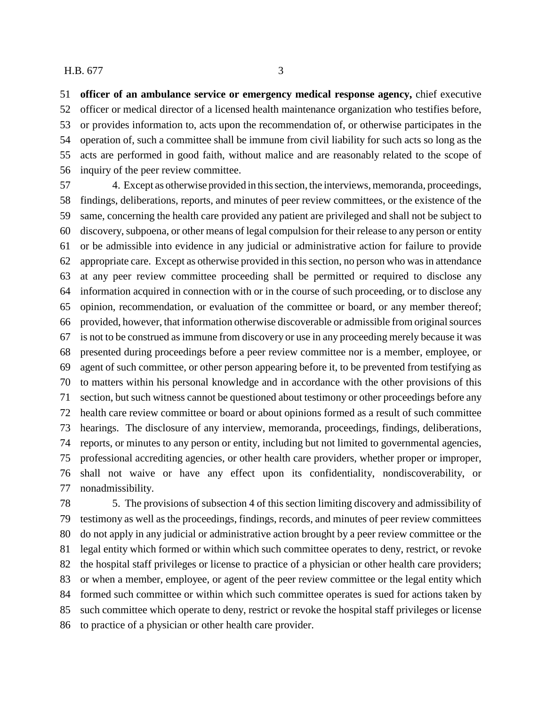### H.B. 677 3

 **officer of an ambulance service or emergency medical response agency,** chief executive officer or medical director of a licensed health maintenance organization who testifies before, or provides information to, acts upon the recommendation of, or otherwise participates in the operation of, such a committee shall be immune from civil liability for such acts so long as the acts are performed in good faith, without malice and are reasonably related to the scope of inquiry of the peer review committee.

 4. Except as otherwise provided in this section, the interviews, memoranda, proceedings, findings, deliberations, reports, and minutes of peer review committees, or the existence of the same, concerning the health care provided any patient are privileged and shall not be subject to discovery, subpoena, or other means of legal compulsion for their release to any person or entity or be admissible into evidence in any judicial or administrative action for failure to provide appropriate care. Except as otherwise provided in this section, no person who was in attendance at any peer review committee proceeding shall be permitted or required to disclose any information acquired in connection with or in the course of such proceeding, or to disclose any opinion, recommendation, or evaluation of the committee or board, or any member thereof; provided, however, that information otherwise discoverable or admissible from original sources is not to be construed as immune from discovery or use in any proceeding merely because it was presented during proceedings before a peer review committee nor is a member, employee, or agent of such committee, or other person appearing before it, to be prevented from testifying as to matters within his personal knowledge and in accordance with the other provisions of this section, but such witness cannot be questioned about testimony or other proceedings before any health care review committee or board or about opinions formed as a result of such committee hearings. The disclosure of any interview, memoranda, proceedings, findings, deliberations, reports, or minutes to any person or entity, including but not limited to governmental agencies, professional accrediting agencies, or other health care providers, whether proper or improper, shall not waive or have any effect upon its confidentiality, nondiscoverability, or nonadmissibility.

 5. The provisions of subsection 4 of this section limiting discovery and admissibility of testimony as well as the proceedings, findings, records, and minutes of peer review committees do not apply in any judicial or administrative action brought by a peer review committee or the legal entity which formed or within which such committee operates to deny, restrict, or revoke the hospital staff privileges or license to practice of a physician or other health care providers; or when a member, employee, or agent of the peer review committee or the legal entity which formed such committee or within which such committee operates is sued for actions taken by such committee which operate to deny, restrict or revoke the hospital staff privileges or license to practice of a physician or other health care provider.